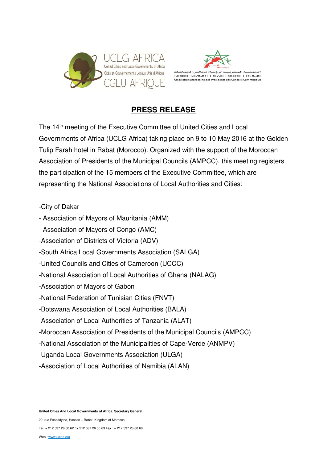



## **PRESS RELEASE**

The 14<sup>th</sup> meeting of the Executive Committee of United Cities and Local Governments of Africa (UCLG Africa) taking place on 9 to 10 May 2016 at the Golden Tulip Farah hotel in Rabat (Morocco). Organized with the support of the Moroccan Association of Presidents of the Municipal Councils (AMPCC), this meeting registers the participation of the 15 members of the Executive Committee, which are representing the National Associations of Local Authorities and Cities:

-City of Dakar

- Association of Mayors of Mauritania (AMM)
- Association of Mayors of Congo (AMC)
- -Association of Districts of Victoria (ADV)
- -South Africa Local Governments Association (SALGA)
- -United Councils and Cities of Cameroon (UCCC)
- -National Association of Local Authorities of Ghana (NALAG)
- -Association of Mayors of Gabon
- -National Federation of Tunisian Cities (FNVT)
- -Botswana Association of Local Authorities (BALA)
- -Association of Local Authorities of Tanzania (ALAT)
- -Moroccan Association of Presidents of the Municipal Councils (AMPCC)
- -National Association of the Municipalities of Cape-Verde (ANMPV)
- -Uganda Local Governments Association (ULGA)
- -Association of Local Authorities of Namibia (ALAN)

**United Cities And Local Governments of Africa**, **Secretary General** 

22, rue Essaadyine, Hassan – Rabat, Kingdom of Morocco

Tel: + 212 537 26 00 62 / + 212 537 26 00 63 Fax : + 212 537 26 00 60

Web : www.uclga.org